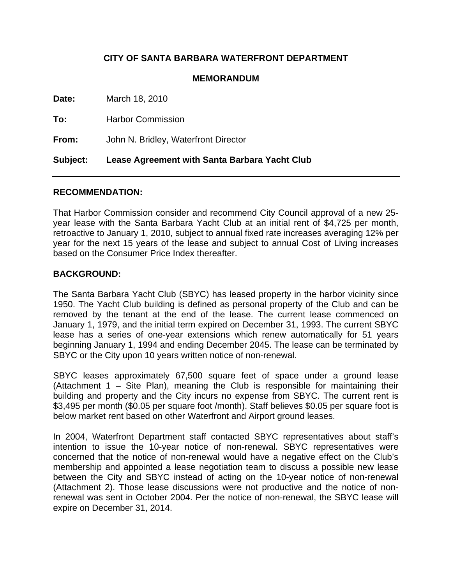# **CITY OF SANTA BARBARA WATERFRONT DEPARTMENT**

### **MEMORANDUM**

| Subject: | Lease Agreement with Santa Barbara Yacht Club |
|----------|-----------------------------------------------|
| From:    | John N. Bridley, Waterfront Director          |
| To:      | <b>Harbor Commission</b>                      |
| Date:    | March 18, 2010                                |

#### **RECOMMENDATION:**

That Harbor Commission consider and recommend City Council approval of a new 25 year lease with the Santa Barbara Yacht Club at an initial rent of \$4,725 per month, retroactive to January 1, 2010, subject to annual fixed rate increases averaging 12% per year for the next 15 years of the lease and subject to annual Cost of Living increases based on the Consumer Price Index thereafter.

## **BACKGROUND:**

The Santa Barbara Yacht Club (SBYC) has leased property in the harbor vicinity since 1950. The Yacht Club building is defined as personal property of the Club and can be removed by the tenant at the end of the lease. The current lease commenced on January 1, 1979, and the initial term expired on December 31, 1993. The current SBYC lease has a series of one-year extensions which renew automatically for 51 years beginning January 1, 1994 and ending December 2045. The lease can be terminated by SBYC or the City upon 10 years written notice of non-renewal.

SBYC leases approximately 67,500 square feet of space under a ground lease (Attachment 1 – Site Plan), meaning the Club is responsible for maintaining their building and property and the City incurs no expense from SBYC. The current rent is \$3,495 per month (\$0.05 per square foot /month). Staff believes \$0.05 per square foot is below market rent based on other Waterfront and Airport ground leases.

In 2004, Waterfront Department staff contacted SBYC representatives about staff's intention to issue the 10-year notice of non-renewal. SBYC representatives were concerned that the notice of non-renewal would have a negative effect on the Club's membership and appointed a lease negotiation team to discuss a possible new lease between the City and SBYC instead of acting on the 10-year notice of non-renewal (Attachment 2). Those lease discussions were not productive and the notice of nonrenewal was sent in October 2004. Per the notice of non-renewal, the SBYC lease will expire on December 31, 2014.